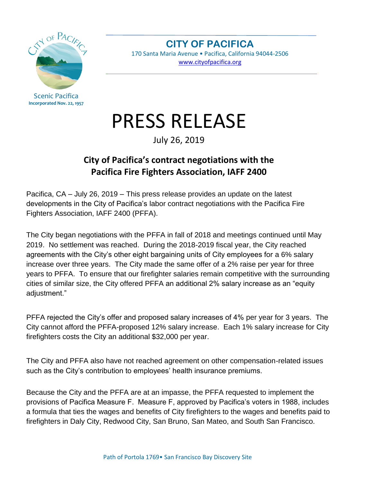

Scenic Pacifica **Incorporated Nov. 22, 1957**

**CITY OF PACIFICA** 170 Santa Maria Avenue • Pacifica, California 94044-2506

[www.cityofpacifica.org](http://www.cityofpacifica.org/)

## PRESS RELEASE

July 26, 2019

## **City of Pacifica's contract negotiations with the Pacifica Fire Fighters Association, IAFF 2400**

Pacifica, CA – July 26, 2019 – This press release provides an update on the latest developments in the City of Pacifica's labor contract negotiations with the Pacifica Fire Fighters Association, IAFF 2400 (PFFA).

The City began negotiations with the PFFA in fall of 2018 and meetings continued until May 2019. No settlement was reached. During the 2018-2019 fiscal year, the City reached agreements with the City's other eight bargaining units of City employees for a 6% salary increase over three years. The City made the same offer of a 2% raise per year for three years to PFFA. To ensure that our firefighter salaries remain competitive with the surrounding cities of similar size, the City offered PFFA an additional 2% salary increase as an "equity adjustment."

PFFA rejected the City's offer and proposed salary increases of 4% per year for 3 years. The City cannot afford the PFFA-proposed 12% salary increase. Each 1% salary increase for City firefighters costs the City an additional \$32,000 per year.

The City and PFFA also have not reached agreement on other compensation-related issues such as the City's contribution to employees' health insurance premiums.

Because the City and the PFFA are at an impasse, the PFFA requested to implement the provisions of Pacifica Measure F. Measure F, approved by Pacifica's voters in 1988, includes a formula that ties the wages and benefits of City firefighters to the wages and benefits paid to firefighters in Daly City, Redwood City, San Bruno, San Mateo, and South San Francisco.